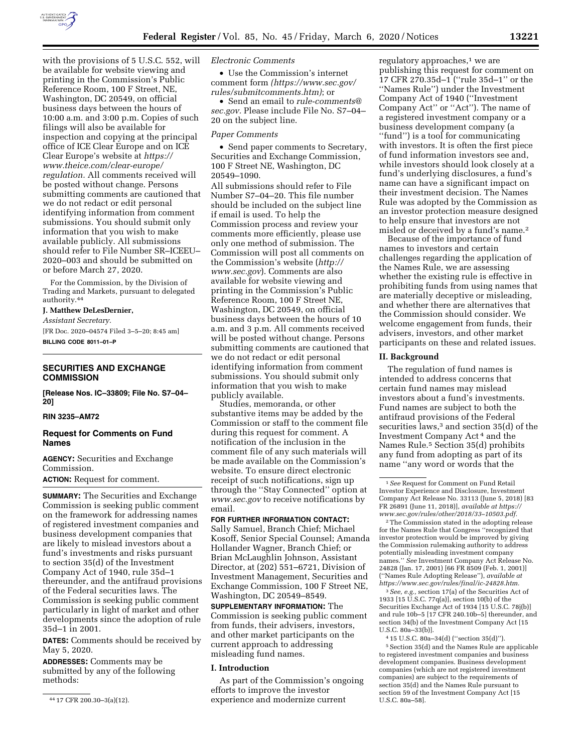

with the provisions of 5 U.S.C. 552, will be available for website viewing and printing in the Commission's Public Reference Room, 100 F Street, NE, Washington, DC 20549, on official business days between the hours of 10:00 a.m. and 3:00 p.m. Copies of such filings will also be available for inspection and copying at the principal office of ICE Clear Europe and on ICE Clear Europe's website at *[https://](https://www.theice.com/clear-europe/regulation) [www.theice.com/clear-europe/](https://www.theice.com/clear-europe/regulation)  [regulation.](https://www.theice.com/clear-europe/regulation)* All comments received will be posted without change. Persons submitting comments are cautioned that we do not redact or edit personal identifying information from comment submissions. You should submit only information that you wish to make available publicly. All submissions should refer to File Number SR–ICEEU– 2020–003 and should be submitted on or before March 27, 2020.

For the Commission, by the Division of Trading and Markets, pursuant to delegated authority.44

#### **J. Matthew DeLesDernier,**

*Assistant Secretary.*  [FR Doc. 2020–04574 Filed 3–5–20; 8:45 am] **BILLING CODE 8011–01–P** 

## **SECURITIES AND EXCHANGE COMMISSION**

**[Release Nos. IC–33809; File No. S7–04– 20]** 

## **RIN 3235–AM72**

## **Request for Comments on Fund Names**

**AGENCY:** Securities and Exchange Commission.

**ACTION:** Request for comment.

**SUMMARY:** The Securities and Exchange Commission is seeking public comment on the framework for addressing names of registered investment companies and business development companies that are likely to mislead investors about a fund's investments and risks pursuant to section 35(d) of the Investment Company Act of 1940, rule 35d–1 thereunder, and the antifraud provisions of the Federal securities laws. The Commission is seeking public comment particularly in light of market and other developments since the adoption of rule 35d–1 in 2001.

**DATES:** Comments should be received by May 5, 2020.

**ADDRESSES:** Comments may be submitted by any of the following methods:

#### *Electronic Comments*

• Use the Commission's internet comment form *([https://www.sec.gov/](https://www.sec.gov/rules/submitcomments.htm)  [rules/submitcomments.htm\)](https://www.sec.gov/rules/submitcomments.htm)*; or

• Send an email to *[rule-comments@](mailto:rule-comments@sec.gov) [sec.gov.](mailto:rule-comments@sec.gov)* Please include File No. S7–04– 20 on the subject line.

#### *Paper Comments*

• Send paper comments to Secretary, Securities and Exchange Commission, 100 F Street NE, Washington, DC 20549–1090.

All submissions should refer to File Number S7–04–20. This file number should be included on the subject line if email is used. To help the Commission process and review your comments more efficiently, please use only one method of submission. The Commission will post all comments on the Commission's website (*[http://](http://www.sec.gov) [www.sec.gov](http://www.sec.gov)*). Comments are also available for website viewing and printing in the Commission's Public Reference Room, 100 F Street NE, Washington, DC 20549, on official business days between the hours of 10 a.m. and 3 p.m. All comments received will be posted without change. Persons submitting comments are cautioned that we do not redact or edit personal identifying information from comment submissions. You should submit only information that you wish to make publicly available.

Studies, memoranda, or other substantive items may be added by the Commission or staff to the comment file during this request for comment. A notification of the inclusion in the comment file of any such materials will be made available on the Commission's website. To ensure direct electronic receipt of such notifications, sign up through the "Stay Connected" option at *[www.sec.gov](http://www.sec.gov)* to receive notifications by email.

## **FOR FURTHER INFORMATION CONTACT:**

Sally Samuel, Branch Chief; Michael Kosoff, Senior Special Counsel; Amanda Hollander Wagner, Branch Chief; or Brian McLaughlin Johnson, Assistant Director, at (202) 551–6721, Division of Investment Management, Securities and Exchange Commission, 100 F Street NE, Washington, DC 20549–8549.

**SUPPLEMENTARY INFORMATION:** The Commission is seeking public comment from funds, their advisers, investors, and other market participants on the current approach to addressing misleading fund names.

## **I. Introduction**

As part of the Commission's ongoing efforts to improve the investor experience and modernize current

regulatory approaches,<sup>1</sup> we are publishing this request for comment on 17 CFR 270.35d–1 (''rule 35d–1'' or the ''Names Rule'') under the Investment Company Act of 1940 (''Investment Company Act'' or ''Act''). The name of a registered investment company or a business development company (a ''fund'') is a tool for communicating with investors. It is often the first piece of fund information investors see and, while investors should look closely at a fund's underlying disclosures, a fund's name can have a significant impact on their investment decision. The Names Rule was adopted by the Commission as an investor protection measure designed to help ensure that investors are not misled or deceived by a fund's name.2

Because of the importance of fund names to investors and certain challenges regarding the application of the Names Rule, we are assessing whether the existing rule is effective in prohibiting funds from using names that are materially deceptive or misleading, and whether there are alternatives that the Commission should consider. We welcome engagement from funds, their advisers, investors, and other market participants on these and related issues.

### **II. Background**

The regulation of fund names is intended to address concerns that certain fund names may mislead investors about a fund's investments. Fund names are subject to both the antifraud provisions of the Federal securities laws,<sup>3</sup> and section 35(d) of the Investment Company Act 4 and the Names Rule.5 Section 35(d) prohibits any fund from adopting as part of its name ''any word or words that the

2The Commission stated in the adopting release for the Names Rule that Congress ''recognized that investor protection would be improved by giving the Commission rulemaking authority to address potentially misleading investment company names.'' *See* Investment Company Act Release No. 24828 (Jan. 17, 2001) [66 FR 8509 (Feb. 1, 2001)] (''Names Rule Adopting Release''), *available at [https://www.sec.gov/rules/final/ic-24828.htm.](https://www.sec.gov/rules/final/ic-24828.htm)* 

3*See, e.g.,* section 17(a) of the Securities Act of 1933 [15 U.S.C. 77q(a)], section 10(b) of the Securities Exchange Act of 1934 [15 U.S.C. 78j(b)] and rule 10b–5 [17 CFR 240.10b–5] thereunder, and section 34(b) of the Investment Company Act [15 U.S.C. 80a–33(b)].

4 15 U.S.C. 80a–34(d) (''section 35(d)''). 5Section 35(d) and the Names Rule are applicable to registered investment companies and business development companies. Business development companies (which are not registered investment companies) are subject to the requirements of section 35(d) and the Names Rule pursuant to section 59 of the Investment Company Act [15 U.S.C. 80a–58].

<sup>44</sup> 17 CFR 200.30–3(a)(12).

<sup>1</sup>*See* Request for Comment on Fund Retail Investor Experience and Disclosure, Investment Company Act Release No. 33113 (June 5, 2018) [83 FR 26891 (June 11, 2018)], *available at [https://](https://www.sec.gov/rules/other/2018/33-10503.pdf) [www.sec.gov/rules/other/2018/33–10503.pdf.](https://www.sec.gov/rules/other/2018/33-10503.pdf)*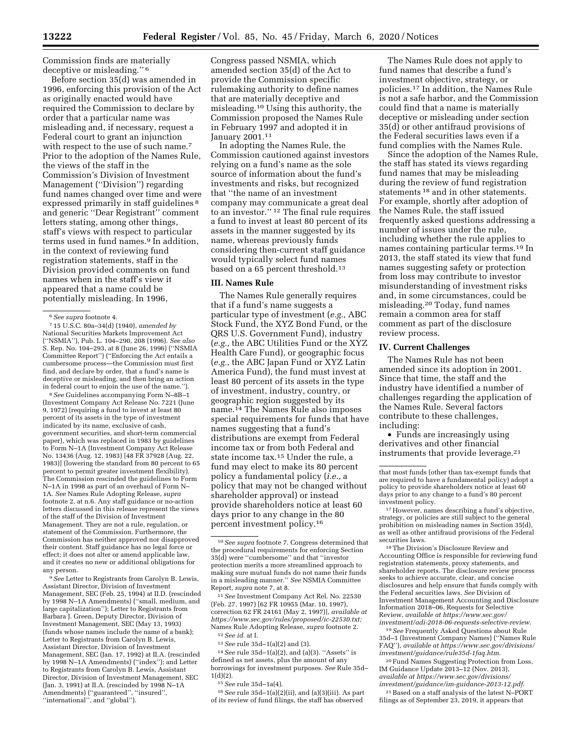Commission finds are materially deceptive or misleading.'' 6

Before section 35(d) was amended in 1996, enforcing this provision of the Act as originally enacted would have required the Commission to declare by order that a particular name was misleading and, if necessary, request a Federal court to grant an injunction with respect to the use of such name.<sup>7</sup> Prior to the adoption of the Names Rule, the views of the staff in the Commission's Division of Investment Management (''Division'') regarding fund names changed over time and were expressed primarily in staff guidelines<sup>8</sup> and generic ''Dear Registrant'' comment letters stating, among other things, staff's views with respect to particular terms used in fund names.9 In addition, in the context of reviewing fund registration statements, staff in the Division provided comments on fund names when in the staff's view it appeared that a name could be potentially misleading. In 1996,

8*See* Guidelines accompanying Form N–8B–1 (Investment Company Act Release No. 7221 (June 9, 1972) (requiring a fund to invest at least 80 percent of its assets in the type of investment indicated by its name, exclusive of cash, government securities, and short-term commercial paper), which was replaced in 1983 by guidelines to Form N–1A (Investment Company Act Release No. 13436 (Aug. 12, 1983) [48 FR 37928 (Aug. 22, 1983)] (lowering the standard from 80 percent to 65 percent to permit greater investment flexibility). The Commission rescinded the guidelines to Form N–1A in 1998 as part of an overhaul of Form N– 1A. *See* Names Rule Adopting Release, *supra*  footnote 2, at n.6. Any staff guidance or no-action letters discussed in this release represent the views of the staff of the Division of Investment Management. They are not a rule, regulation, or statement of the Commission. Furthermore, the Commission has neither approved nor disapproved their content. Staff guidance has no legal force or effect; it does not alter or amend applicable law, and it creates no new or additional obligations for any person.

9*See* Letter to Registrants from Carolyn B. Lewis, Assistant Director, Division of Investment Management, SEC (Feb. 25, 1994) at II.D. (rescinded by 1998 N–1A Amendments) (''small, medium, and large capitalization''); Letter to Registrants from Barbara J. Green, Deputy Director, Division of Investment Management, SEC (May 13, 1993) (funds whose names include the name of a bank); Letter to Registrants from Carolyn B. Lewis, Assistant Director, Division of Investment Management, SEC (Jan. 17, 1992) at II.A. (rescinded by 1998 N–1A Amendments) (''index''); and Letter to Registrants from Carolyn B. Lewis, Assistant Director, Division of Investment Management, SEC (Jan. 3, 1991) at II.A. (rescinded by 1998 N–1A Amendments) (''guaranteed'', ''insured'', ''international'', and ''global'').

Congress passed NSMIA, which amended section 35(d) of the Act to provide the Commission specific rulemaking authority to define names that are materially deceptive and misleading.10 Using this authority, the Commission proposed the Names Rule in February 1997 and adopted it in January 2001.11

In adopting the Names Rule, the Commission cautioned against investors relying on a fund's name as the sole source of information about the fund's investments and risks, but recognized that ''the name of an investment company may communicate a great deal to an investor.'' 12 The final rule requires a fund to invest at least 80 percent of its assets in the manner suggested by its name, whereas previously funds considering then-current staff guidance would typically select fund names based on a 65 percent threshold.<sup>13</sup>

#### **III. Names Rule**

The Names Rule generally requires that if a fund's name suggests a particular type of investment (*e.g.,* ABC Stock Fund, the XYZ Bond Fund, or the QRS U.S. Government Fund), industry (*e.g.,* the ABC Utilities Fund or the XYZ Health Care Fund), or geographic focus (*e.g.,* the ABC Japan Fund or XYZ Latin America Fund), the fund must invest at least 80 percent of its assets in the type of investment, industry, country, or geographic region suggested by its name.14 The Names Rule also imposes special requirements for funds that have names suggesting that a fund's distributions are exempt from Federal income tax or from both Federal and state income tax.15 Under the rule, a fund may elect to make its 80 percent policy a fundamental policy (*i.e.,* a policy that may not be changed without shareholder approval) or instead provide shareholders notice at least 60 days prior to any change in the 80 percent investment policy.16

11*See* Investment Company Act Rel. No. 22530 (Feb. 27, 1997) [62 FR 10955 (Mar. 10, 1997), correction 62 FR 24161 (May 2, 1997)], *available at [https://www.sec.gov/rules/proposed/ic-22530.txt;](https://www.sec.gov/rules/proposed/ic-22530.txt)*  Names Rule Adopting Release, *supra* footnote 2. 12*See id.* at I.

13*See* rule 35d–1(a)(2) and (3).

14*See* rule 35d–1(a)(2), and (a)(3). ''Assets'' is defined as net assets, plus the amount of any borrowings for investment purposes. *See* Rule 35d– 1(d)(2).

15*See* rule 35d–1a(4).

16*See* rule 35d–1(a)(2)(ii), and (a)(3)(iii). As part of its review of fund filings, the staff has observed

The Names Rule does not apply to fund names that describe a fund's investment objective, strategy, or policies.17 In addition, the Names Rule is not a safe harbor, and the Commission could find that a name is materially deceptive or misleading under section 35(d) or other antifraud provisions of the Federal securities laws even if a fund complies with the Names Rule.

Since the adoption of the Names Rule, the staff has stated its views regarding fund names that may be misleading during the review of fund registration statements 18 and in other statements. For example, shortly after adoption of the Names Rule, the staff issued frequently asked questions addressing a number of issues under the rule, including whether the rule applies to names containing particular terms.19 In 2013, the staff stated its view that fund names suggesting safety or protection from loss may contribute to investor misunderstanding of investment risks and, in some circumstances, could be misleading.20 Today, fund names remain a common area for staff comment as part of the disclosure review process.

#### **IV. Current Challenges**

The Names Rule has not been amended since its adoption in 2001. Since that time, the staff and the industry have identified a number of challenges regarding the application of the Names Rule. Several factors contribute to these challenges, including:

• Funds are increasingly using derivatives and other financial instruments that provide leverage.21

 $^{\rm 18}\rm{The}$  Division's Disclosure Review and Accounting Office is responsible for reviewing fund registration statements, proxy statements, and shareholder reports. The disclosure review process seeks to achieve accurate, clear, and concise disclosures and help ensure that funds comply with the Federal securities laws. *See* Division of Investment Management Accounting and Disclosure Information 2018–06, Requests for Selective Review, *available at [https://www.sec.gov/](https://www.sec.gov/investment/adi-2018-06-requests-selective-review) [investment/adi-2018-06-requests-selective-review](https://www.sec.gov/investment/adi-2018-06-requests-selective-review)*.

19*See* Frequently Asked Questions about Rule 35d–1 (Investment Company Names) (''Names Rule FAQ''), *available at [https://www.sec.gov/divisions/](https://www.sec.gov/divisions/investment/guidance/rule35d-1faq.htm)  [investment/guidance/rule35d-1faq.htm.](https://www.sec.gov/divisions/investment/guidance/rule35d-1faq.htm)* 

20Fund Names Suggesting Protection from Loss, IM Guidance Update 2013–12 (Nov. 2013), *available at [https://www.sec.gov/divisions/](https://www.sec.gov/divisions/investment/guidance/im-guidance-2013-12.pdf) [investment/guidance/im-guidance-2013-12.pdf](https://www.sec.gov/divisions/investment/guidance/im-guidance-2013-12.pdf)*. 21Based on a staff analysis of the latest N–PORT filings as of September 23, 2019, it appears that

<sup>6</sup>*See supra* footnote 4.

<sup>7</sup> 15 U.S.C. 80a–34(d) (1940), *amended by*  National Securities Markets Improvement Act (''NSMIA''), Pub. L. 104–290, 208 (1996). *See also*  S. Rep. No. 104–293, at 8 (June 26, 1996) (''NSMIA Committee Report'') (''Enforcing the Act entails a cumbersome process—the Commission must first find, and declare by order, that a fund's name is deceptive or misleading, and then bring an action in federal court to enjoin the use of the name.'').

<sup>10</sup>*See supra* footnote 7. Congress determined that the procedural requirements for enforcing Section 35(d) were ''cumbersome'' and that ''investor protection merits a more streamlined approach to making sure mutual funds do not name their funds in a misleading manner.'' *See* NSMIA Committee Report, *supra* note 7, at 8.

that most funds (other than tax-exempt funds that are required to have a fundamental policy) adopt a policy to provide shareholders notice at least 60 days prior to any change to a fund's 80 percent

<sup>&</sup>lt;sup>17</sup> However, names describing a fund's objective, strategy, or policies are still subject to the general prohibition on misleading names in Section 35(d), as well as other antifraud provisions of the Federal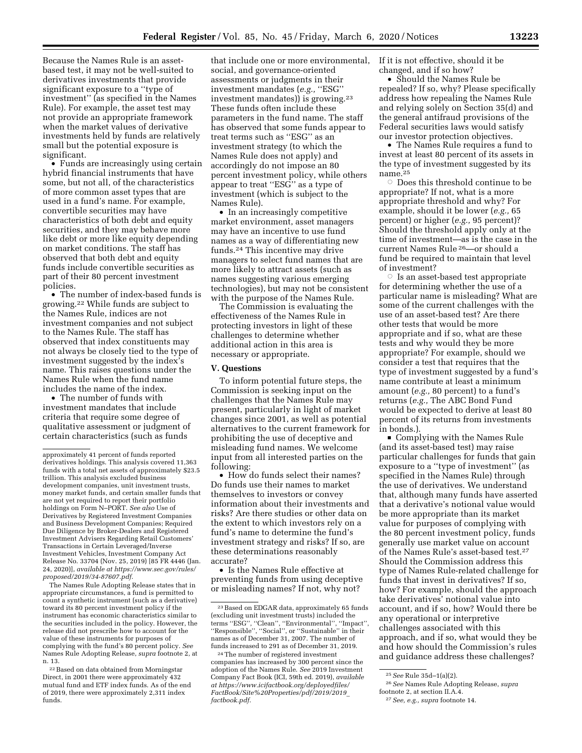Because the Names Rule is an assetbased test, it may not be well-suited to derivatives investments that provide significant exposure to a ''type of investment'' (as specified in the Names Rule). For example, the asset test may not provide an appropriate framework when the market values of derivative investments held by funds are relatively small but the potential exposure is significant.

• Funds are increasingly using certain hybrid financial instruments that have some, but not all, of the characteristics of more common asset types that are used in a fund's name. For example, convertible securities may have characteristics of both debt and equity securities, and they may behave more like debt or more like equity depending on market conditions. The staff has observed that both debt and equity funds include convertible securities as part of their 80 percent investment policies.

• The number of index-based funds is growing.22 While funds are subject to the Names Rule, indices are not investment companies and not subject to the Names Rule. The staff has observed that index constituents may not always be closely tied to the type of investment suggested by the index's name. This raises questions under the Names Rule when the fund name includes the name of the index.

• The number of funds with investment mandates that include criteria that require some degree of qualitative assessment or judgment of certain characteristics (such as funds

The Names Rule Adopting Release states that in appropriate circumstances, a fund is permitted to count a synthetic instrument (such as a derivative) toward its 80 percent investment policy if the instrument has economic characteristics similar to the securities included in the policy. However, the release did not prescribe how to account for the value of these instruments for purposes of complying with the fund's 80 percent policy. *See*  Names Rule Adopting Release, *supra* footnote 2, at n. 13.

22Based on data obtained from Morningstar Direct, in 2001 there were approximately 432 mutual fund and ETF index funds. As of the end of 2019, there were approximately 2,311 index funds.

that include one or more environmental, social, and governance-oriented assessments or judgments in their investment mandates (*e.g.,* ''ESG'' investment mandates)) is growing.23 These funds often include these parameters in the fund name. The staff has observed that some funds appear to treat terms such as ''ESG'' as an investment strategy (to which the Names Rule does not apply) and accordingly do not impose an 80 percent investment policy, while others appear to treat ''ESG'' as a type of investment (which is subject to the Names Rule).

• In an increasingly competitive market environment, asset managers may have an incentive to use fund names as a way of differentiating new funds.24 This incentive may drive managers to select fund names that are more likely to attract assets (such as names suggesting various emerging technologies), but may not be consistent with the purpose of the Names Rule.

The Commission is evaluating the effectiveness of the Names Rule in protecting investors in light of these challenges to determine whether additional action in this area is necessary or appropriate.

#### **V. Questions**

To inform potential future steps, the Commission is seeking input on the challenges that the Names Rule may present, particularly in light of market changes since 2001, as well as potential alternatives to the current framework for prohibiting the use of deceptive and misleading fund names. We welcome input from all interested parties on the following:

• How do funds select their names? Do funds use their names to market themselves to investors or convey information about their investments and risks? Are there studies or other data on the extent to which investors rely on a fund's name to determine the fund's investment strategy and risks? If so, are these determinations reasonably accurate?

• Is the Names Rule effective at preventing funds from using deceptive or misleading names? If not, why not?

If it is not effective, should it be changed, and if so how?

• Should the Names Rule be repealed? If so, why? Please specifically address how repealing the Names Rule and relying solely on Section 35(d) and the general antifraud provisions of the Federal securities laws would satisfy our investor protection objectives.

• The Names Rule requires a fund to invest at least 80 percent of its assets in the type of investment suggested by its name.25

 $\circ$  Does this threshold continue to be appropriate? If not, what is a more appropriate threshold and why? For example, should it be lower (*e.g.,* 65 percent) or higher (*e.g.,* 95 percent)? Should the threshold apply only at the time of investment—as is the case in the current Names Rule 26—or should a fund be required to maintain that level of investment?

 $\circ$  Is an asset-based test appropriate for determining whether the use of a particular name is misleading? What are some of the current challenges with the use of an asset-based test? Are there other tests that would be more appropriate and if so, what are these tests and why would they be more appropriate? For example, should we consider a test that requires that the type of investment suggested by a fund's name contribute at least a minimum amount (*e.g.,* 80 percent) to a fund's returns (*e.g.,* The ABC Bond Fund would be expected to derive at least 80 percent of its returns from investments in bonds.).

**Complying with the Names Rule** (and its asset-based test) may raise particular challenges for funds that gain exposure to a ''type of investment'' (as specified in the Names Rule) through the use of derivatives. We understand that, although many funds have asserted that a derivative's notional value would be more appropriate than its market value for purposes of complying with the 80 percent investment policy, funds generally use market value on account of the Names Rule's asset-based test.27 Should the Commission address this type of Names Rule-related challenge for funds that invest in derivatives? If so, how? For example, should the approach take derivatives' notional value into account, and if so, how? Would there be any operational or interpretive challenges associated with this approach, and if so, what would they be and how should the Commission's rules and guidance address these challenges?

approximately 41 percent of funds reported derivatives holdings. This analysis covered 11,363 funds with a total net assets of approximately \$23.5 trillion. This analysis excluded business development companies, unit investment trusts, money market funds, and certain smaller funds that are not yet required to report their portfolio holdings on Form N–PORT. *See also* Use of Derivatives by Registered Investment Companies and Business Development Companies; Required Due Diligence by Broker-Dealers and Registered Investment Advisers Regarding Retail Customers' Transactions in Certain Leveraged/Inverse Investment Vehicles, Investment Company Act Release No. 33704 (Nov. 25, 2019) [85 FR 4446 (Jan. 24, 2020)], *available at [https://www.sec.gov/rules/](https://www.sec.gov/rules/proposed/2019/34-87607.pdf) [proposed/2019/34-87607.pdf](https://www.sec.gov/rules/proposed/2019/34-87607.pdf)*.

<sup>23</sup>Based on EDGAR data, approximately 65 funds (excluding unit investment trusts) included the terms ''ESG'', ''Clean'', ''Environmental'', ''Impact'', ''Responsible'', ''Social'', or ''Sustainable'' in their names as of December 31, 2007. The number of funds increased to 291 as of December 31, 2019.

<sup>24</sup>The number of registered investment companies has increased by 300 percent since the adoption of the Names Rule. *See* 2019 Investment Company Fact Book (ICI, 59th ed. 2019), *available at [https://www.icifactbook.org/deployedfiles/](https://www.icifactbook.org/deployedfiles/FactBook/Site%20Properties/pdf/2019/2019_factbook.pdf)  [FactBook/Site%20Properties/pdf/2019/2019](https://www.icifactbook.org/deployedfiles/FactBook/Site%20Properties/pdf/2019/2019_factbook.pdf)*\_ *[factbook.pdf](https://www.icifactbook.org/deployedfiles/FactBook/Site%20Properties/pdf/2019/2019_factbook.pdf)*.

<sup>25</sup>*See* Rule 35d–1(a)(2).

<sup>26</sup>*See* Names Rule Adopting Release, *supra*  footnote 2, at section II.A.4.

<sup>27</sup>*See, e.g., supra* footnote 14.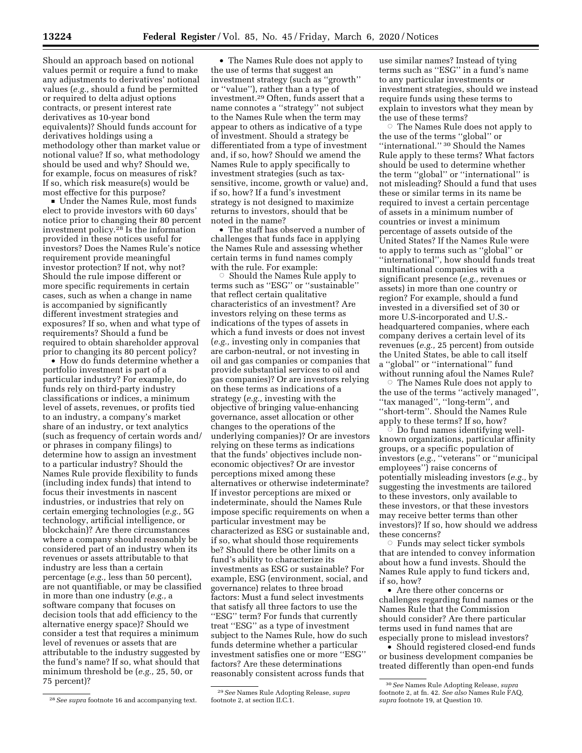Should an approach based on notional values permit or require a fund to make any adjustments to derivatives' notional values (*e.g.,* should a fund be permitted or required to delta adjust options contracts, or present interest rate derivatives as 10-year bond equivalents)? Should funds account for derivatives holdings using a methodology other than market value or notional value? If so, what methodology should be used and why? Should we, for example, focus on measures of risk? If so, which risk measure(s) would be most effective for this purpose?

■ Under the Names Rule, most funds elect to provide investors with 60 days' notice prior to changing their 80 percent investment policy.28 Is the information provided in these notices useful for investors? Does the Names Rule's notice requirement provide meaningful investor protection? If not, why not? Should the rule impose different or more specific requirements in certain cases, such as when a change in name is accompanied by significantly different investment strategies and exposures? If so, when and what type of requirements? Should a fund be required to obtain shareholder approval prior to changing its 80 percent policy?

• How do funds determine whether a portfolio investment is part of a particular industry? For example, do funds rely on third-party industry classifications or indices, a minimum level of assets, revenues, or profits tied to an industry, a company's market share of an industry, or text analytics (such as frequency of certain words and/ or phrases in company filings) to determine how to assign an investment to a particular industry? Should the Names Rule provide flexibility to funds (including index funds) that intend to focus their investments in nascent industries, or industries that rely on certain emerging technologies (*e.g.,* 5G technology, artificial intelligence, or blockchain)? Are there circumstances where a company should reasonably be considered part of an industry when its revenues or assets attributable to that industry are less than a certain percentage (*e.g.,* less than 50 percent), are not quantifiable, or may be classified in more than one industry (*e.g.,* a software company that focuses on decision tools that add efficiency to the alternative energy space)? Should we consider a test that requires a minimum level of revenues or assets that are attributable to the industry suggested by the fund's name? If so, what should that minimum threshold be (*e.g.,* 25, 50, or 75 percent)?

• The Names Rule does not apply to the use of terms that suggest an investment strategy (such as ''growth'' or ''value''), rather than a type of investment.29 Often, funds assert that a name connotes a ''strategy'' not subject to the Names Rule when the term may appear to others as indicative of a type of investment. Should a strategy be differentiated from a type of investment and, if so, how? Should we amend the Names Rule to apply specifically to investment strategies (such as taxsensitive, income, growth or value) and, if so, how? If a fund's investment strategy is not designed to maximize returns to investors, should that be noted in the name?

• The staff has observed a number of challenges that funds face in applying the Names Rule and assessing whether certain terms in fund names comply with the rule. For example:<br>Should the Names Rule ©

 Should the Names Rule apply to terms such as ''ESG'' or ''sustainable'' that reflect certain qualitative characteristics of an investment? Are investors relying on these terms as indications of the types of assets in which a fund invests or does not invest (*e.g.,* investing only in companies that are carbon-neutral, or not investing in oil and gas companies or companies that provide substantial services to oil and gas companies)? Or are investors relying on these terms as indications of a strategy (*e.g.,* investing with the objective of bringing value-enhancing governance, asset allocation or other changes to the operations of the underlying companies)? Or are investors relying on these terms as indications that the funds' objectives include noneconomic objectives? Or are investor perceptions mixed among these alternatives or otherwise indeterminate? If investor perceptions are mixed or indeterminate, should the Names Rule impose specific requirements on when a particular investment may be characterized as ESG or sustainable and, if so, what should those requirements be? Should there be other limits on a fund's ability to characterize its investments as ESG or sustainable? For example, ESG (environment, social, and governance) relates to three broad factors: Must a fund select investments that satisfy all three factors to use the ''ESG'' term? For funds that currently treat ''ESG'' as a type of investment subject to the Names Rule, how do such funds determine whether a particular investment satisfies one or more ''ESG'' factors? Are these determinations reasonably consistent across funds that

29*See* Names Rule Adopting Release, *supra*  footnote 2, at section II.C.1.

use similar names? Instead of tying terms such as ''ESG'' in a fund's name to any particular investments or investment strategies, should we instead require funds using these terms to explain to investors what they mean by the use of these terms?

 $\circ$  The Names Rule does not apply to the use of the terms ''global'' or ''international.'' 30 Should the Names Rule apply to these terms? What factors should be used to determine whether the term ''global'' or ''international'' is not misleading? Should a fund that uses these or similar terms in its name be required to invest a certain percentage of assets in a minimum number of countries or invest a minimum percentage of assets outside of the United States? If the Names Rule were to apply to terms such as ''global'' or ''international'', how should funds treat multinational companies with a significant presence (*e.g.,* revenues or assets) in more than one country or region? For example, should a fund invested in a diversified set of 30 or more U.S-incorporated and U.S. headquartered companies, where each company derives a certain level of its revenues (*e.g.,* 25 percent) from outside the United States, be able to call itself a ''global'' or ''international'' fund without running afoul the Names Rule?

 $\circ$  The Names Rule does not apply to the use of the terms ''actively managed'', ''tax managed'', ''long-term'', and ''short-term''. Should the Names Rule apply to these terms? If so, how?

 $\overline{O}$  Do fund names identifying wellknown organizations, particular affinity groups, or a specific population of investors (*e.g.,* ''veterans'' or ''municipal employees'') raise concerns of potentially misleading investors (*e.g.,* by suggesting the investments are tailored to these investors, only available to these investors, or that these investors may receive better terms than other investors)? If so, how should we address these concerns?

Æ Funds may select ticker symbols that are intended to convey information about how a fund invests. Should the Names Rule apply to fund tickers and, if so, how?

• Are there other concerns or challenges regarding fund names or the Names Rule that the Commission should consider? Are there particular terms used in fund names that are especially prone to mislead investors?

• Should registered closed-end funds or business development companies be treated differently than open-end funds

<sup>28</sup>*See supra* footnote 16 and accompanying text.

<sup>30</sup>*See* Names Rule Adopting Release, *supra*  footnote 2, at fn. 42. *See also* Names Rule FAQ, *supra* footnote 19, at Question 10.